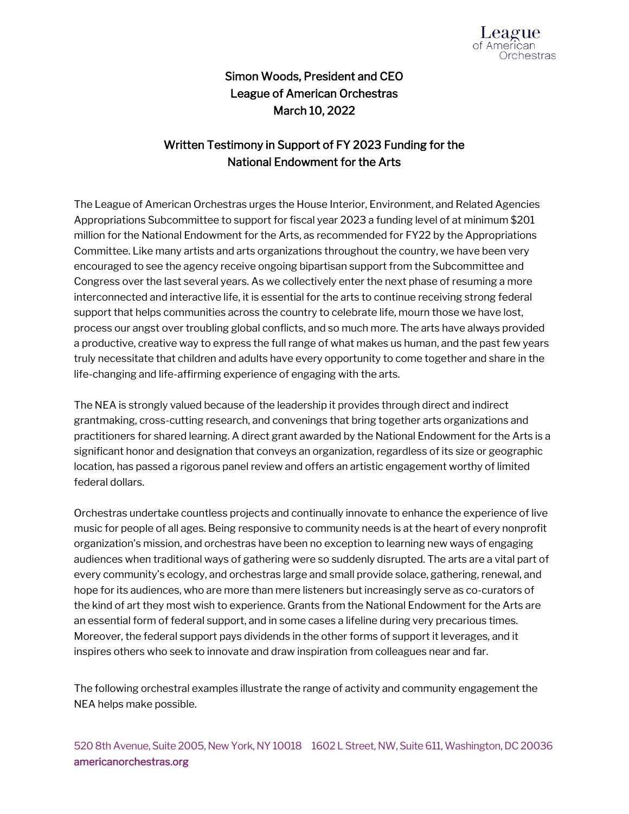

## Simon Woods, President and CEO League of American Orchestras March 10, 2022

## Written Testimony in Support of FY 2023 Funding for the National Endowment for the Arts

The League of American Orchestras urges the House Interior, Environment, and Related Agencies Appropriations Subcommittee to support for fiscal year 2023 a funding level of at minimum \$201 million for the National Endowment for the Arts, as recommended for FY22 by the Appropriations Committee. Like many artists and arts organizations throughout the country, we have been very encouraged to see the agency receive ongoing bipartisan support from the Subcommittee and Congress over the last several years. As we collectively enter the next phase of resuming a more interconnected and interactive life, it is essential for the arts to continue receiving strong federal support that helps communities across the country to celebrate life, mourn those we have lost, process our angst over troubling global conflicts, and so much more. The arts have always provided a productive, creative way to express the full range of what makes us human, and the past few years truly necessitate that children and adults have every opportunity to come together and share in the life-changing and life-affirming experience of engaging with the arts.

The NEA is strongly valued because of the leadership it provides through direct and indirect grantmaking, cross-cutting research, and convenings that bring together arts organizations and practitioners for shared learning. A direct grant awarded by the National Endowment for the Arts is a significant honor and designation that conveys an organization, regardless of its size or geographic location, has passed a rigorous panel review and offers an artistic engagement worthy of limited federal dollars.

Orchestras undertake countless projects and continually innovate to enhance the experience of live music for people of all ages. Being responsive to community needs is at the heart of every nonprofit organization's mission, and orchestras have been no exception to learning new ways of engaging audiences when traditional ways of gathering were so suddenly disrupted. The arts are a vital part of every community's ecology, and orchestras large and small provide solace, gathering, renewal, and hope for its audiences, who are more than mere listeners but increasingly serve as co-curators of the kind of art they most wish to experience. Grants from the National Endowment for the Arts are an essential form of federal support, and in some cases a lifeline during very precarious times. Moreover, the federal support pays dividends in the other forms of support it leverages, and it inspires others who seek to innovate and draw inspiration from colleagues near and far.

The following orchestral examples illustrate the range of activity and community engagement the NEA helps make possible.

520 8th Avenue, Suite 2005, New York, NY 10018 1602 L Street, NW, Suite 611, Washington, DC 20036 americanorchestras.org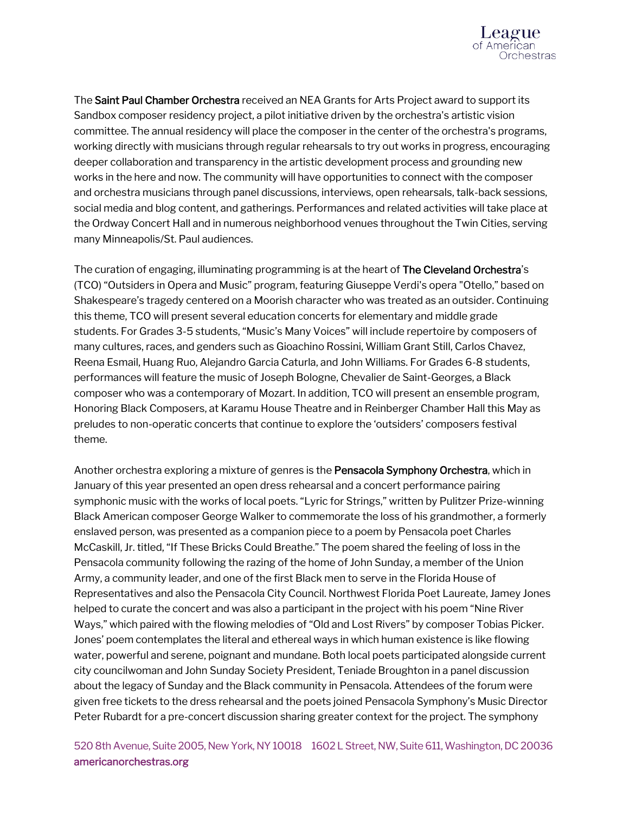

The Saint Paul Chamber Orchestra received an NEA Grants for Arts Project award to support its Sandbox composer residency project, a pilot initiative driven by the orchestra's artistic vision committee. The annual residency will place the composer in the center of the orchestra's programs, working directly with musicians through regular rehearsals to try out works in progress, encouraging deeper collaboration and transparency in the artistic development process and grounding new works in the here and now. The community will have opportunities to connect with the composer and orchestra musicians through panel discussions, interviews, open rehearsals, talk-back sessions, social media and blog content, and gatherings. Performances and related activities will take place at the Ordway Concert Hall and in numerous neighborhood venues throughout the Twin Cities, serving many Minneapolis/St. Paul audiences.

The curation of engaging, illuminating programming is at the heart of The Cleveland Orchestra's (TCO) "Outsiders in Opera and Music" program, featuring Giuseppe Verdi's opera "Otello," based on Shakespeare's tragedy centered on a Moorish character who was treated as an outsider. Continuing this theme, TCO will present several education concerts for elementary and middle grade students. For Grades 3-5 students, "Music's Many Voices" will include repertoire by composers of many cultures, races, and genders such as Gioachino Rossini, William Grant Still, Carlos Chavez, Reena Esmail, Huang Ruo, Alejandro Garcia Caturla, and John Williams. For Grades 6-8 students, performances will feature the music of Joseph Bologne, Chevalier de Saint-Georges, a Black composer who was a contemporary of Mozart. In addition, TCO will present an ensemble program, Honoring Black Composers, at Karamu House Theatre and in Reinberger Chamber Hall this May as preludes to non-operatic concerts that continue to explore the 'outsiders' composers festival theme.

Another orchestra exploring a mixture of genres is the **Pensacola Symphony Orchestra**, which in January of this year presented an open dress rehearsal and a concert performance pairing symphonic music with the works of local poets. "Lyric for Strings," written by Pulitzer Prize-winning Black American composer George Walker to commemorate the loss of his grandmother, a formerly enslaved person, was presented as a companion piece to a poem by Pensacola poet Charles McCaskill, Jr. titled, "If These Bricks Could Breathe." The poem shared the feeling of loss in the Pensacola community following the razing of the home of John Sunday, a member of the Union Army, a community leader, and one of the first Black men to serve in the Florida House of Representatives and also the Pensacola City Council. Northwest Florida Poet Laureate, Jamey Jones helped to curate the concert and was also a participant in the project with his poem "Nine River Ways," which paired with the flowing melodies of "Old and Lost Rivers" by composer Tobias Picker. Jones' poem contemplates the literal and ethereal ways in which human existence is like flowing water, powerful and serene, poignant and mundane. Both local poets participated alongside current city councilwoman and John Sunday Society President, Teniade Broughton in a panel discussion about the legacy of Sunday and the Black community in Pensacola. Attendees of the forum were given free tickets to the dress rehearsal and the poets joined Pensacola Symphony's Music Director Peter Rubardt for a pre-concert discussion sharing greater context for the project. The symphony

520 8th Avenue, Suite 2005, New York, NY 10018 1602 L Street, NW, Suite 611, Washington, DC 20036 americanorchestras.org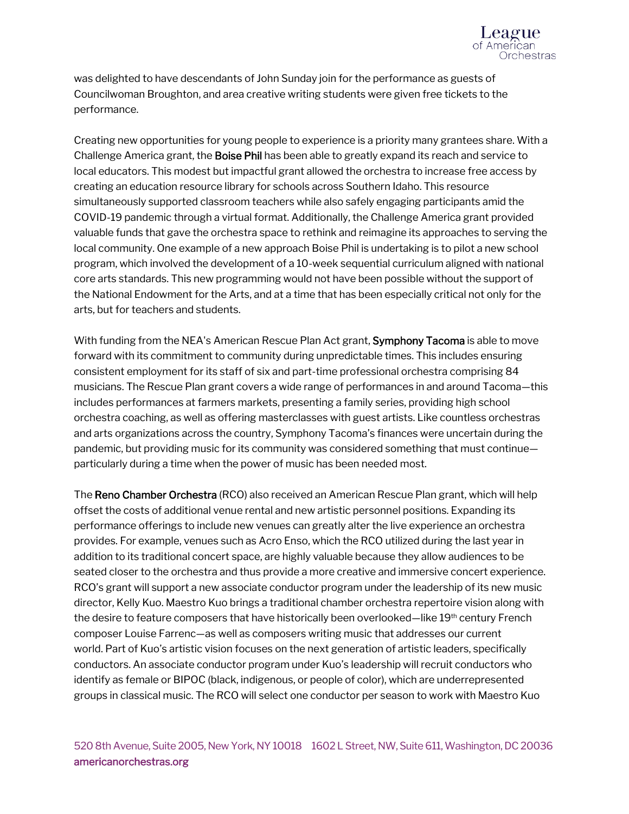was delighted to have descendants of John Sunday join for the performance as guests of Councilwoman Broughton, and area creative writing students were given free tickets to the performance.

Creating new opportunities for young people to experience is a priority many grantees share. With a Challenge America grant, the Boise Phil has been able to greatly expand its reach and service to local educators. This modest but impactful grant allowed the orchestra to increase free access by creating an education resource library for schools across Southern Idaho. This resource simultaneously supported classroom teachers while also safely engaging participants amid the COVID-19 pandemic through a virtual format. Additionally, the Challenge America grant provided valuable funds that gave the orchestra space to rethink and reimagine its approaches to serving the local community. One example of a new approach Boise Phil is undertaking is to pilot a new school program, which involved the development of a 10-week sequential curriculum aligned with national core arts standards. This new programming would not have been possible without the support of the National Endowment for the Arts, and at a time that has been especially critical not only for the arts, but for teachers and students.

With funding from the NEA's American Rescue Plan Act grant, **Symphony Tacoma** is able to move forward with its commitment to community during unpredictable times. This includes ensuring consistent employment for its staff of six and part-time professional orchestra comprising 84 musicians. The Rescue Plan grant covers a wide range of performances in and around Tacoma—this includes performances at farmers markets, presenting a family series, providing high school orchestra coaching, as well as offering masterclasses with guest artists. Like countless orchestras and arts organizations across the country, Symphony Tacoma's finances were uncertain during the pandemic, but providing music for its community was considered something that must continue particularly during a time when the power of music has been needed most.

The Reno Chamber Orchestra (RCO) also received an American Rescue Plan grant, which will help offset the costs of additional venue rental and new artistic personnel positions. Expanding its performance offerings to include new venues can greatly alter the live experience an orchestra provides. For example, venues such as Acro Enso, which the RCO utilized during the last year in addition to its traditional concert space, are highly valuable because they allow audiences to be seated closer to the orchestra and thus provide a more creative and immersive concert experience. RCO's grant will support a new associate conductor program under the leadership of its new music director, Kelly Kuo. Maestro Kuo brings a traditional chamber orchestra repertoire vision along with the desire to feature composers that have historically been overlooked—like 19<sup>th</sup> century French composer Louise Farrenc—as well as composers writing music that addresses our current world. Part of Kuo's artistic vision focuses on the next generation of artistic leaders, specifically conductors. An associate conductor program under Kuo's leadership will recruit conductors who identify as female or BIPOC (black, indigenous, or people of color), which are underrepresented groups in classical music. The RCO will select one conductor per season to work with Maestro Kuo